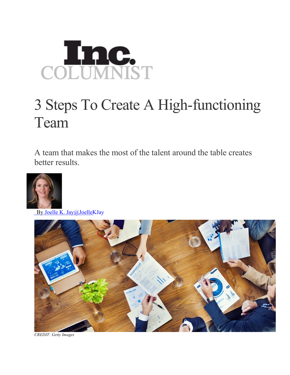

## 3 Steps To Create A High-functioning Team

A team that makes the most of the talent around the table creates better results.



By Joelle K. Jay@JoelleKJay



*CREDIT: Getty Images*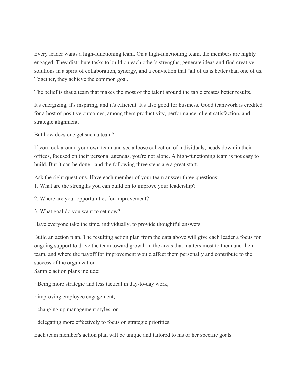Every leader wants a high-functioning team. On a high-functioning team, the members are highly engaged. They distribute tasks to build on each other's strengths, generate ideas and find creative solutions in a spirit of collaboration, synergy, and a conviction that ''all of us is better than one of us.'' Together, they achieve the common goal.

The belief is that a team that makes the most of the talent around the table creates better results.

It's energizing, it's inspiring, and it's efficient. It's also good for business. Good teamwork is credited for a host of positive outcomes, among them productivity, performance, client satisfaction, and strategic alignment.

But how does one get such a team?

If you look around your own team and see a loose collection of individuals, heads down in their offices, focused on their personal agendas, you're not alone. A high-functioning team is not easy to build. But it can be done - and the following three steps are a great start.

Ask the right questions. Have each member of your team answer three questions:

1. What are the strengths you can build on to improve your leadership?

- 2. Where are your opportunities for improvement?
- 3. What goal do you want to set now?

Have everyone take the time, individually, to provide thoughtful answers.

Build an action plan. The resulting action plan from the data above will give each leader a focus for ongoing support to drive the team toward growth in the areas that matters most to them and their team, and where the payoff for improvement would affect them personally and contribute to the success of the organization.

Sample action plans include:

- · Being more strategic and less tactical in day-to-day work,
- · improving employee engagement,
- · changing up management styles, or
- · delegating more effectively to focus on strategic priorities.

Each team member's action plan will be unique and tailored to his or her specific goals.